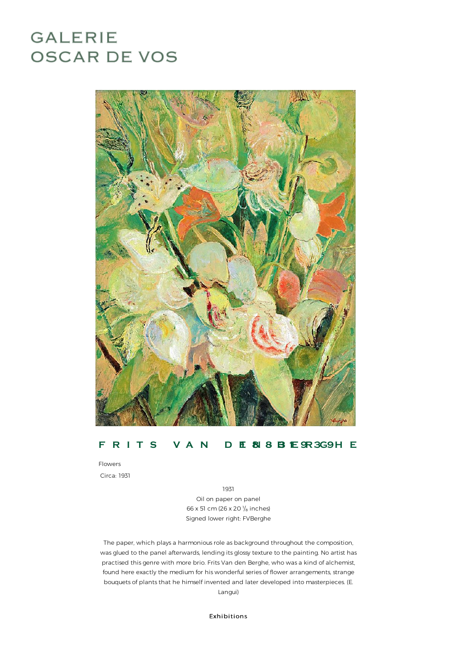## **GALERIE OSCAR DE VOS**



## **F R I T S V A N D E1 8N 8- B3 1E 9R3G9H E**

Flowers Circa: 1931

1931

Oil on paper on panel 66 x 51 cm (26 x 20 $\frac{1}{8}$  inches) Signed lower right: FVBerghe

The paper, which plays a harmonious role as background throughout the composition, was glued to the panel afterwards, lending its glossy texture to the painting. No artist has practised thisgenre with more brio. FritsVan den Berghe, who wasa kind ofalchemist, found here exactly the medium for his wonderful series of flower arrangements, strange bouquets of plants that he himself invented and later developed into masterpieces. (E. Langui)

Exhibitions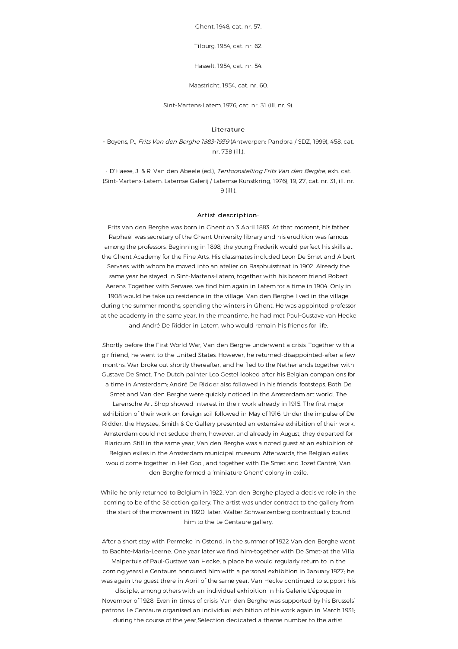Ghent, 1948, cat. nr. 57.

Tilburg, 1954, cat. nr. 62.

Hasselt, 1954, cat. nr. 54.

Maastricht, 1954, cat.nr.60.

Sint-Martens-Latem, 1976, cat. nr. 31 (ill. nr. 9).

## Literature

- Boyens, P., Frits Van den Berghe 1883-1939 (Antwerpen: Pandora / SDZ, 1999), 458, cat. nr. 738(ill.).

- D'Haese, J. & R. Van den Abeele (ed.), Tentoonstelling Frits Van den Berghe, exh. cat. (Sint-Martens-Latem: Latemse Galerij / Latemse Kunstkring, 1976), 19, 27, cat. nr. 31, ill. nr. 9(ill.).

## Artist description:

Frits Van den Berghe was born in Ghent on 3 April 1883. At that moment, his father Raphaël was secretary of the Ghent University library and his erudition was famous among the professors. Beginning in 1898, the young Frederik would perfect his skills at the Ghent Academy for the Fine Arts. Hisclassmates included Leon De Smet and Albert Servaes, with whom he moved into an atelier on Rasphuisstraat in 1902. Already the same year he stayed in Sint-Martens-Latem, together with his bosom friend Robert Aerens. Together with Servaes, we find himagain in Latemfor a time in 1904. Only in 1908 would he take up residence in the village. Van den Berghe lived in the village during the summer months, spending the winters in Ghent. He was appointed professor at the academy in the same year. In the meantime, he had met Paul-Gustave van Hecke and André De Ridder in Latem, who would remain his friends for life.

Shortly before the First World War, Van den Berghe underwent a crisis. Together with a girlfriend, he went to the United States. However, he returned-disappointed-after a few months. War broke out shortly thereafter, and he fled to the Netherlands together with Gustave De Smet. The Dutch painter Leo Gestel looked afterhis Belgian companions for a time in Amsterdam; André De Ridder alsofollowed in his friends' footsteps. Both De Smet and Van den Berghe were quickly noticed in the Amsterdam art world. The Larensche Art Shop showed interest in their work already in 1915. The first major exhibition of their work on foreign soil followed in May of 1916. Under the impulse of De Ridder, the Heystee, Smith & Co Gallery presented an extensive exhibition of their work. Amsterdam could not seduce them, however, and already in August, they departed for Blaricum. Still in the same year, Van den Berghe was a noted guest at an exhibition of Belgian exiles in the Amsterdam municipal museum. Afterwards, the Belgian exiles would come together in Het Gooi, and together with De Smet and Jozef Cantré, Van den Berghe formed a 'miniature Ghent' colony in exile.

While he only returned to Belgium in 1922, Van den Berghe played a decisive role in the coming to be of the Sélection gallery. The artist was under contract to the gallery from the start of the movement in 1920; later, Walter Schwarzenberg contractually bound him to the Le Centaure gallery.

After a short stay with Permeke in Ostend, in the summer of 1922 Van den Berghe went to Bachte-Maria-Leerne. One year later we find him-together with De Smet-at the Villa Malpertuis of Paul-Gustave van Hecke, a place he would regularly return to in the coming years.Le Centaure honoured him with a personal exhibition in January 1927; he was again the guest there in April of the same year. Van Hecke continued to support his disciple, amongothers with an individual exhibition in his Galerie L'époque in November of 1928. Even in times of crisis, Van den Berghe was supported by his Brussels' patrons. Le Centaure organised an individual exhibition of his work again in March 1931;

during the course of the year,Sélection dedicated a theme number to the artist.